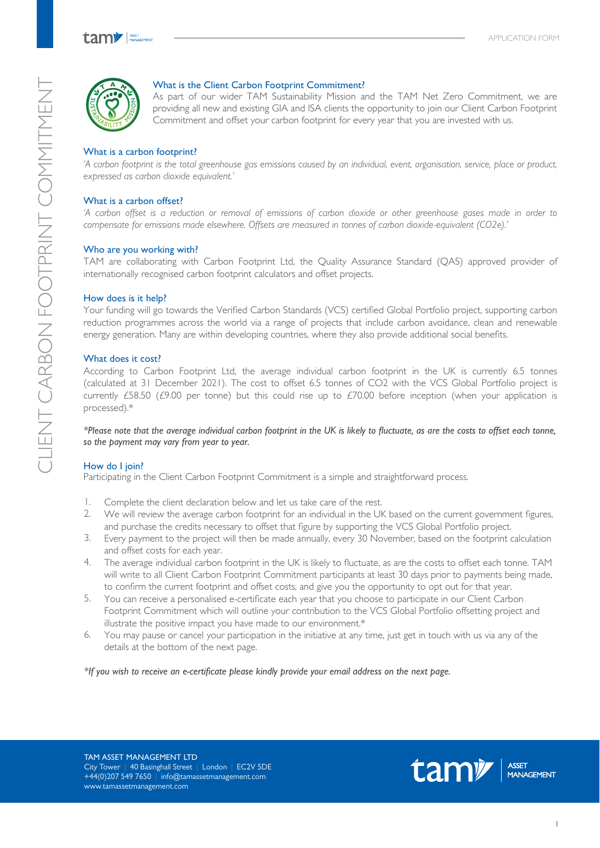

### What is the Client Carbon Footprint Commitment?

As part of our wider TAM Sustainability Mission and the TAM Net Zero Commitment, we are providing all new and existing GIA and ISA clients the opportunity to join our Client Carbon Footprint Commitment and offset your carbon footprint for every year that you are invested with us.

## What is a carbon footprint?

*'A carbon footprint is the total greenhouse gas emissions caused by an individual, event, organisation, service, place or product, expressed as carbon dioxide equivalent.'*

## What is a carbon offset?

*'A carbon offset is a reduction or removal of emissions of carbon dioxide or other greenhouse gases made in order to compensate for emissions made elsewhere. Offsets are measured in tonnes of carbon dioxide-equivalent (CO2e).'*

## Who are you working with?

TAM are collaborating with Carbon Footprint Ltd, the Quality Assurance Standard (QAS) approved provider of internationally recognised carbon footprint calculators and offset projects.

### How does is it help?

Your funding will go towards the Verified Carbon Standards (VCS) certified Global Portfolio project, supporting carbon reduction programmes across the world via a range of projects that include carbon avoidance, clean and renewable energy generation. Many are within developing countries, where they also provide additional social benefits.

### What does it cost?

According to Carbon Footprint Ltd, the average individual carbon footprint in the UK is currently 6.5 tonnes (calculated at 31 December 2021). The cost to offset 6.5 tonnes of CO2 with the VCS Global Portfolio project is currently £58.50 (£9.00 per tonne) but this could rise up to £70.00 before inception (when your application is processed).\*

*\*Please note that the average individual carbon footprint in the UK is likely to fluctuate, as are the costs to offset each tonne, so the payment may vary from year to year.*

## How do I join?

Participating in the Client Carbon Footprint Commitment is a simple and straightforward process.

- Complete the client declaration below and let us take care of the rest. 1.
- We will review the average carbon footprint for an individual in the UK based on the current government figures, and purchase the credits necessary to offset that figure by supporting the VCS Global Portfolio project. 2.
- Every payment to the project will then be made annually, every 30 November, based on the footprint calculation and offset costs for each year. 3.
- The average individual carbon footprint in the UK is likely to fluctuate, as are the costs to offset each tonne. TAM will write to all Client Carbon Footprint Commitment participants at least 30 days prior to payments being made, to confirm the current footprint and offset costs, and give you the opportunity to opt out for that year. 4.
- You can receive a personalised e-certificate each year that you choose to participate in our Client Carbon Footprint Commitment which will outline your contribution to the VCS Global Portfolio offsetting project and illustrate the positive impact you have made to our environment.\* 5.
- You may pause or cancel your participation in the initiative at any time, just get in touch with us via any of the details at the bottom of the next page. 6.

*\*If you wish to receive an e-certificate please kindly provide your email address on the next page.*